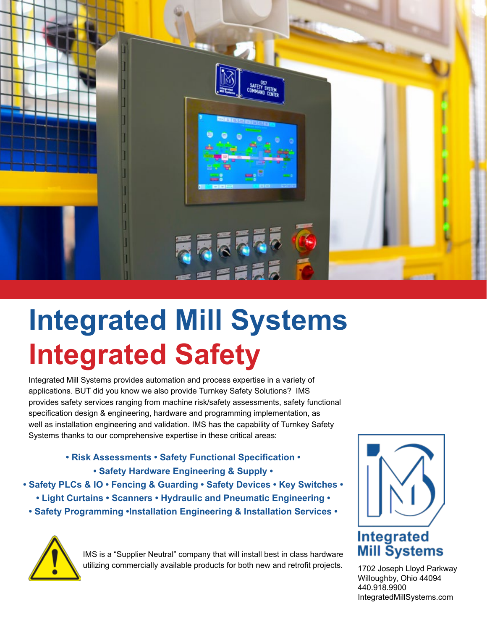

## **Integrated Mill Systems Integrated Safety**

Integrated Mill Systems provides automation and process expertise in a variety of applications. BUT did you know we also provide Turnkey Safety Solutions? IMS provides safety services ranging from machine risk/safety assessments, safety functional specification design & engineering, hardware and programming implementation, as well as installation engineering and validation. IMS has the capability of Turnkey Safety Systems thanks to our comprehensive expertise in these critical areas:

> **• Risk Assessments • Safety Functional Specification • • Safety Hardware Engineering & Supply •**

**• Safety PLCs & IO • Fencing & Guarding • Safety Devices • Key Switches •** 

- **Light Curtains Scanners Hydraulic and Pneumatic Engineering**
- **Safety Programming •Installation Engineering & Installation Services •**



IMS is a "Supplier Neutral" company that will install best in class hardware utilizing commercially available products for both new and retrofit projects.



1702 Joseph Lloyd Parkway Willoughby, Ohio 44094 440.918.9900 IntegratedMillSystems.com